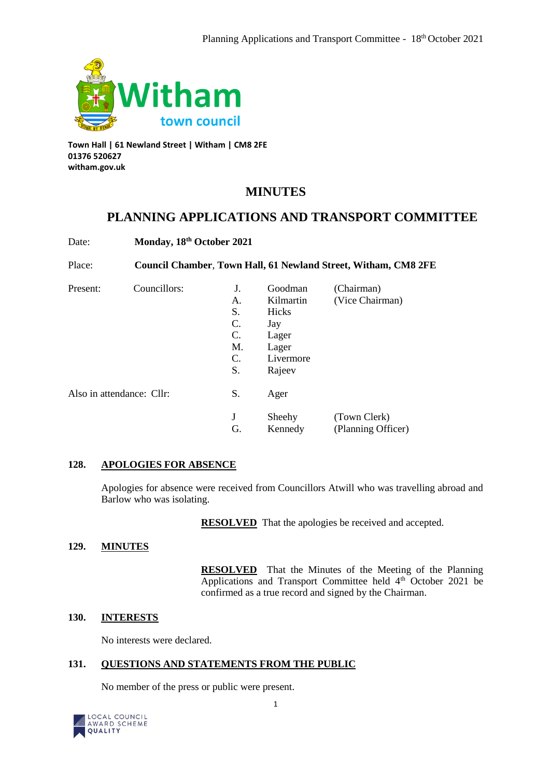

**Town Hall | 61 Newland Street | Witham | CM8 2FE 01376 520627 witham.gov.uk**

# **MINUTES**

## **PLANNING APPLICATIONS AND TRANSPORT COMMITTEE**

| Date:                     | Monday, 18th October 2021 |                                              |                                                                               |                                                                |  |
|---------------------------|---------------------------|----------------------------------------------|-------------------------------------------------------------------------------|----------------------------------------------------------------|--|
| Place:                    |                           |                                              |                                                                               | Council Chamber, Town Hall, 61 Newland Street, Witham, CM8 2FE |  |
| Present:                  | Councillors:              | J.<br>А.<br>S.<br>C.<br>C.<br>M.<br>C.<br>S. | Goodman<br>Kilmartin<br>Hicks<br>Jay<br>Lager<br>Lager<br>Livermore<br>Rajeev | (Chairman)<br>(Vice Chairman)                                  |  |
| Also in attendance: Cllr: |                           | S.                                           | Ager                                                                          |                                                                |  |
|                           |                           | J<br>G.                                      | Sheehy<br>Kennedy                                                             | (Town Clerk)<br>(Planning Officer)                             |  |

## **128. APOLOGIES FOR ABSENCE**

Apologies for absence were received from Councillors Atwill who was travelling abroad and Barlow who was isolating.

**RESOLVED** That the apologies be received and accepted.

## **129. MINUTES**

**RESOLVED** That the Minutes of the Meeting of the Planning Applications and Transport Committee held 4<sup>th</sup> October 2021 be confirmed as a true record and signed by the Chairman.

## **130. INTERESTS**

No interests were declared.

## **131. QUESTIONS AND STATEMENTS FROM THE PUBLIC**

No member of the press or public were present.

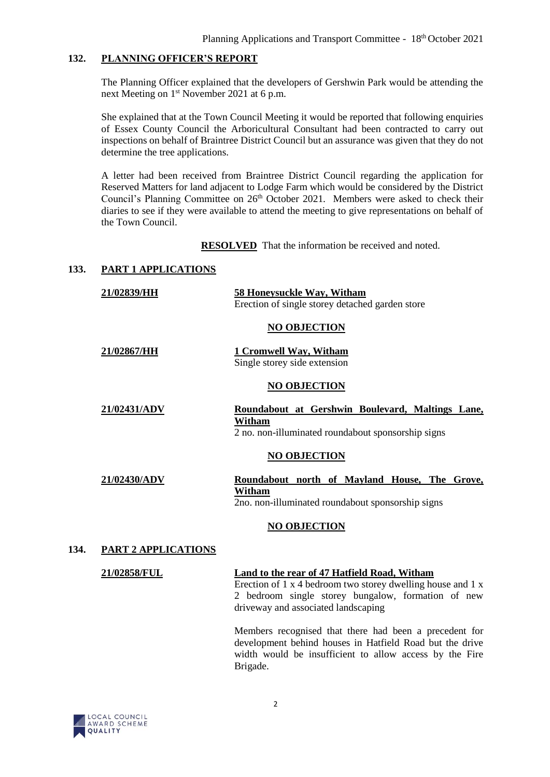## **132. PLANNING OFFICER'S REPORT**

The Planning Officer explained that the developers of Gershwin Park would be attending the next Meeting on 1<sup>st</sup> November 2021 at 6 p.m.

She explained that at the Town Council Meeting it would be reported that following enquiries of Essex County Council the Arboricultural Consultant had been contracted to carry out inspections on behalf of Braintree District Council but an assurance was given that they do not determine the tree applications.

A letter had been received from Braintree District Council regarding the application for Reserved Matters for land adjacent to Lodge Farm which would be considered by the District Council's Planning Committee on 26<sup>th</sup> October 2021. Members were asked to check their diaries to see if they were available to attend the meeting to give representations on behalf of the Town Council.

**RESOLVED** That the information be received and noted.

## **133. PART 1 APPLICATIONS**

| 21/02839/HH         | 58 Honeysuckle Way, Witham<br>Erection of single storey detached garden store                                    |  |  |  |
|---------------------|------------------------------------------------------------------------------------------------------------------|--|--|--|
|                     | <b>NO OBJECTION</b>                                                                                              |  |  |  |
| 21/02867/HH         | 1 Cromwell Way, Witham<br>Single storey side extension                                                           |  |  |  |
|                     | <b>NO OBJECTION</b>                                                                                              |  |  |  |
| 21/02431/ADV        | Roundabout at Gershwin Boulevard, Maltings Lane,<br>Witham<br>2 no. non-illuminated roundabout sponsorship signs |  |  |  |
| <b>NO OBJECTION</b> |                                                                                                                  |  |  |  |
| 21/02430/ADV        | Roundabout north of Mayland House, The Grove,<br>Witham<br>2no. non-illuminated roundabout sponsorship signs     |  |  |  |

## **NO OBJECTION**

#### **134. PART 2 APPLICATIONS**

| 21/02858/FUL | Land to the rear of 47 Hatfield Road, Witham                                                                                                                                                                                                                                                                                                                                                                                                                                          |  |  |  |  |  |
|--------------|---------------------------------------------------------------------------------------------------------------------------------------------------------------------------------------------------------------------------------------------------------------------------------------------------------------------------------------------------------------------------------------------------------------------------------------------------------------------------------------|--|--|--|--|--|
|              | Erection of 1 x 4 bedroom two storey dwelling house and 1 x                                                                                                                                                                                                                                                                                                                                                                                                                           |  |  |  |  |  |
|              | 2 bedroom single storey bungalow, formation of new<br>driveway and associated landscaping                                                                                                                                                                                                                                                                                                                                                                                             |  |  |  |  |  |
|              | $\mathbf{1} \cdot \mathbf{1} \cdot \mathbf{1} \cdot \mathbf{1} \cdot \mathbf{1} \cdot \mathbf{1} \cdot \mathbf{1} \cdot \mathbf{1} \cdot \mathbf{1} \cdot \mathbf{1} \cdot \mathbf{1} \cdot \mathbf{1} \cdot \mathbf{1} \cdot \mathbf{1} \cdot \mathbf{1} \cdot \mathbf{1} \cdot \mathbf{1} \cdot \mathbf{1} \cdot \mathbf{1} \cdot \mathbf{1} \cdot \mathbf{1} \cdot \mathbf{1} \cdot \mathbf{1} \cdot \mathbf{1} \cdot \mathbf{1} \cdot \mathbf{1} \cdot \mathbf{1} \cdot \mathbf{$ |  |  |  |  |  |

Members recognised that there had been a precedent for development behind houses in Hatfield Road but the drive width would be insufficient to allow access by the Fire Brigade.

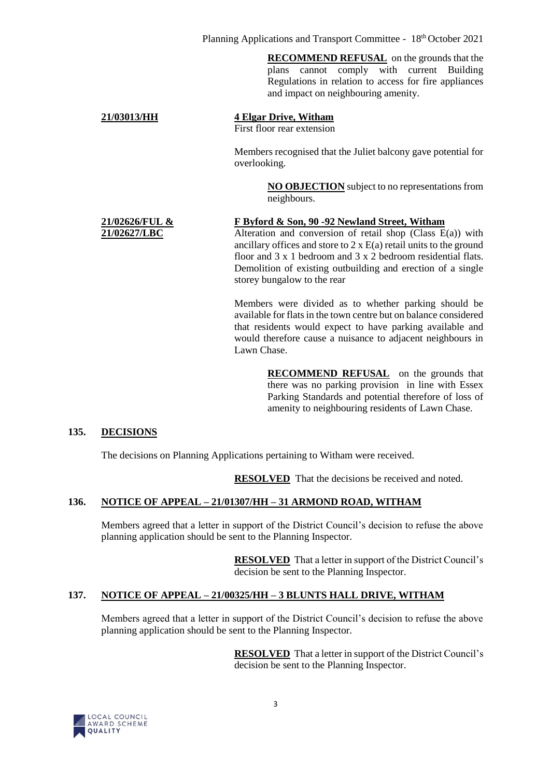**RECOMMEND REFUSAL** on the grounds that the plans cannot comply with current Building Regulations in relation to access for fire appliances and impact on neighbouring amenity.

#### **21/03013/HH 4 Elgar Drive, Witham** First floor rear extension

Members recognised that the Juliet balcony gave potential for overlooking.

> **NO OBJECTION** subject to no representations from neighbours.

**21/02626/FUL & F Byford & Son, 90 -92 Newland Street, Witham 21/02627/LBC** Alteration and conversion of retail shop (Class E(a)) with ancillary offices and store to  $2 \times E(a)$  retail units to the ground floor and 3 x 1 bedroom and 3 x 2 bedroom residential flats. Demolition of existing outbuilding and erection of a single storey bungalow to the rear

> Members were divided as to whether parking should be available for flats in the town centre but on balance considered that residents would expect to have parking available and would therefore cause a nuisance to adjacent neighbours in Lawn Chase.

> > **RECOMMEND REFUSAL** on the grounds that there was no parking provision in line with Essex Parking Standards and potential therefore of loss of amenity to neighbouring residents of Lawn Chase.

## **135. DECISIONS**

The decisions on Planning Applications pertaining to Witham were received.

**RESOLVED** That the decisions be received and noted.

## **136. NOTICE OF APPEAL – 21/01307/HH – 31 ARMOND ROAD, WITHAM**

Members agreed that a letter in support of the District Council's decision to refuse the above planning application should be sent to the Planning Inspector.

> **RESOLVED** That a letter in support of the District Council's decision be sent to the Planning Inspector.

## **137. NOTICE OF APPEAL – 21/00325/HH – 3 BLUNTS HALL DRIVE, WITHAM**

Members agreed that a letter in support of the District Council's decision to refuse the above planning application should be sent to the Planning Inspector.

> **RESOLVED** That a letter in support of the District Council's decision be sent to the Planning Inspector.